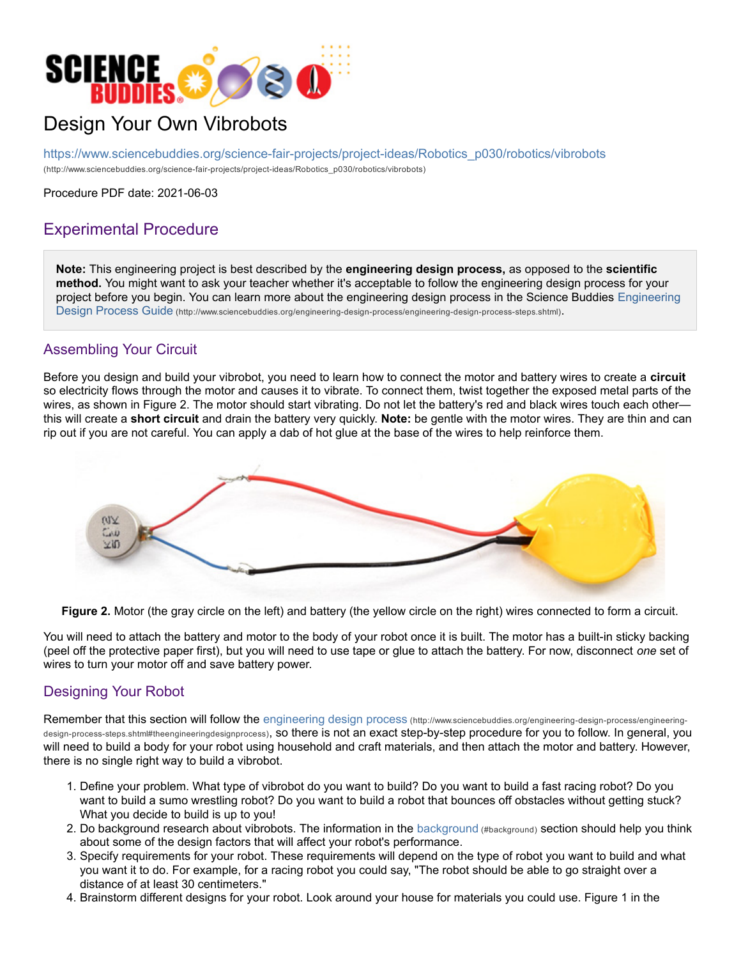

## Design Your Own Vibrobots

https://www.sciencebuddies.org/science-fair-projects/project-ideas/Robotics\_p030/robotics/vibrobots (http://www.sciencebuddies.org/science-fair-projects/project-ideas/Robotics\_p030/robotics/vibrobots)

Procedure PDF date: 2021-06-03

## Experimental Procedure

**Note:** This engineering project is best described by the **engineering design process,** as opposed to the **scientific method.** You might want to ask your teacher whether it's acceptable to follow the engineering design process for your project before you begin. You can learn more about the engineering design process in the Science Buddies Engineering Design Process Guide (http://www.sciencebuddies.org/engineering-design-process/engineering-design-process-steps.shtml).

## Assembling Your Circuit

Before you design and build your vibrobot, you need to learn how to connect the motor and battery wires to create a **circuit** so electricity flows through the motor and causes it to vibrate. To connect them, twist together the exposed metal parts of the wires, as shown in Figure 2. The motor should start vibrating. Do not let the battery's red and black wires touch each other this will create a **short circuit** and drain the battery very quickly. **Note:** be gentle with the motor wires. They are thin and can rip out if you are not careful. You can apply a dab of hot glue at the base of the wires to help reinforce them.



**Figure 2.** Motor (the gray circle on the left) and battery (the yellow circle on the right) wires connected to form a circuit.

You will need to attach the battery and motor to the body of your robot once it is built. The motor has a built-in sticky backing (peel off the protective paper first), but you will need to use tape or glue to attach the battery. For now, disconnect *one* set of wires to turn your motor off and save battery power.

## Designing Your Robot

Remember that this section will follow the engineering design process (http://www.sciencebuddies.org/engineering-design-process/engineeringdesign-process-steps.shtml#theengineeringdesignprocess), so there is not an exact step-by-step procedure for you to follow. In general, you will need to build a body for your robot using household and craft materials, and then attach the motor and battery. However, there is no single right way to build a vibrobot.

- 1. Define your problem. What type of vibrobot do you want to build? Do you want to build a fast racing robot? Do you want to build a sumo wrestling robot? Do you want to build a robot that bounces off obstacles without getting stuck? What you decide to build is up to you!
- 2. Do background research about vibrobots. The information in the background (#background) section should help you think about some of the design factors that will affect your robot's performance.
- 3. Specify requirements for your robot. These requirements will depend on the type of robot you want to build and what you want it to do. For example, for a racing robot you could say, "The robot should be able to go straight over a distance of at least 30 centimeters."
- 4. Brainstorm different designs for your robot. Look around your house for materials you could use. Figure 1 in the